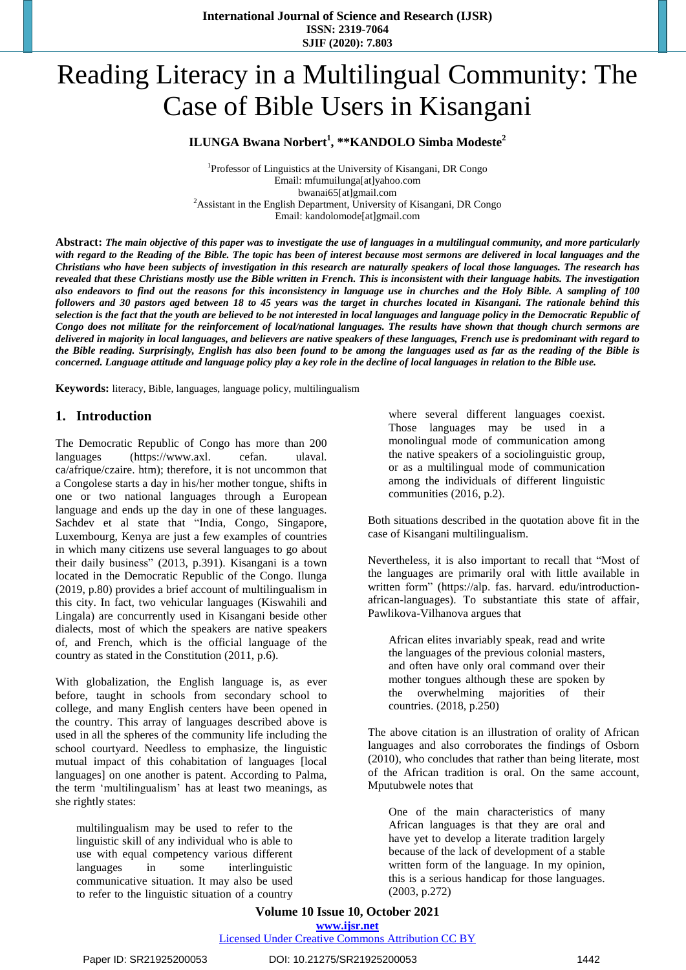# Reading Literacy in a Multilingual Community: The Case of Bible Users in Kisangani

# **ILUNGA Bwana Norbert<sup>1</sup> , \*\*KANDOLO Simba Modeste<sup>2</sup>**

<sup>1</sup>Professor of Linguistics at the University of Kisangani, DR Congo Email: mfumuilunga[at]yahoo.com bwanai65[at]gmail.com <sup>2</sup> Assistant in the English Department, University of Kisangani, DR Congo Email: kandolomode[at]gmail.com

Abstract: The main objective of this paper was to investigate the use of languages in a multilingual community, and more particularly with regard to the Reading of the Bible. The topic has been of interest because most sermons are delivered in local languages and the Christians who have been subjects of investigation in this research are naturally speakers of local those languages. The research has revealed that these Christians mostly use the Bible written in French. This is inconsistent with their language habits. The investigation also endeavors to find out the reasons for this inconsistency in language use in churches and the Holy Bible. A sampling of 100 followers and 30 pastors aged between 18 to 45 years was the target in churches located in Kisangani. The rationale behind this selection is the fact that the youth are believed to be not interested in local languages and language policy in the Democratic Republic of Congo does not militate for the reinforcement of local/national languages. The results have shown that though church sermons are delivered in majority in local languages, and believers are native speakers of these languages, French use is predominant with regard to the Bible reading. Surprisingly, English has also been found to be among the languages used as far as the reading of the Bible is concerned. Language attitude and language policy play a key role in the decline of local languages in relation to the Bible use.

**Keywords:** literacy, Bible, languages, language policy, multilingualism

# **1. Introduction**

The Democratic Republic of Congo has more than 200 languages (https://www.axl. cefan. ulaval. ca/afrique/czaire. htm); therefore, it is not uncommon that a Congolese starts a day in his/her mother tongue, shifts in one or two national languages through a European language and ends up the day in one of these languages. Sachdev et al state that "India, Congo, Singapore, Luxembourg, Kenya are just a few examples of countries in which many citizens use several languages to go about their daily business" (2013, p.391). Kisangani is a town located in the Democratic Republic of the Congo. Ilunga (2019, p.80) provides a brief account of multilingualism in this city. In fact, two vehicular languages (Kiswahili and Lingala) are concurrently used in Kisangani beside other dialects, most of which the speakers are native speakers of, and French, which is the official language of the country as stated in the Constitution (2011, p.6).

With globalization, the English language is, as ever before, taught in schools from secondary school to college, and many English centers have been opened in the country. This array of languages described above is used in all the spheres of the community life including the school courtyard. Needless to emphasize, the linguistic mutual impact of this cohabitation of languages [local languages] on one another is patent. According to Palma, the term 'multilingualism' has at least two meanings, as she rightly states:

multilingualism may be used to refer to the linguistic skill of any individual who is able to use with equal competency various different languages in some interlinguistic communicative situation. It may also be used to refer to the linguistic situation of a country

where several different languages coexist. Those languages may be used in a monolingual mode of communication among the native speakers of a sociolinguistic group, or as a multilingual mode of communication among the individuals of different linguistic communities (2016, p.2).

Both situations described in the quotation above fit in the case of Kisangani multilingualism.

Nevertheless, it is also important to recall that "Most of the languages are primarily oral with little available in written form" (https://alp. fas. harvard. edu/introductionafrican-languages). To substantiate this state of affair, Pawlikova-Vilhanova argues that

African elites invariably speak, read and write the languages of the previous colonial masters, and often have only oral command over their mother tongues although these are spoken by the overwhelming majorities of their countries. (2018, p.250)

The above citation is an illustration of orality of African languages and also corroborates the findings of Osborn (2010), who concludes that rather than being literate, most of the African tradition is oral. On the same account, Mputubwele notes that

One of the main characteristics of many African languages is that they are oral and have yet to develop a literate tradition largely because of the lack of development of a stable written form of the language. In my opinion, this is a serious handicap for those languages. (2003, p.272)

#### **Volume 10 Issue 10, October 2021 www.ijsr.net**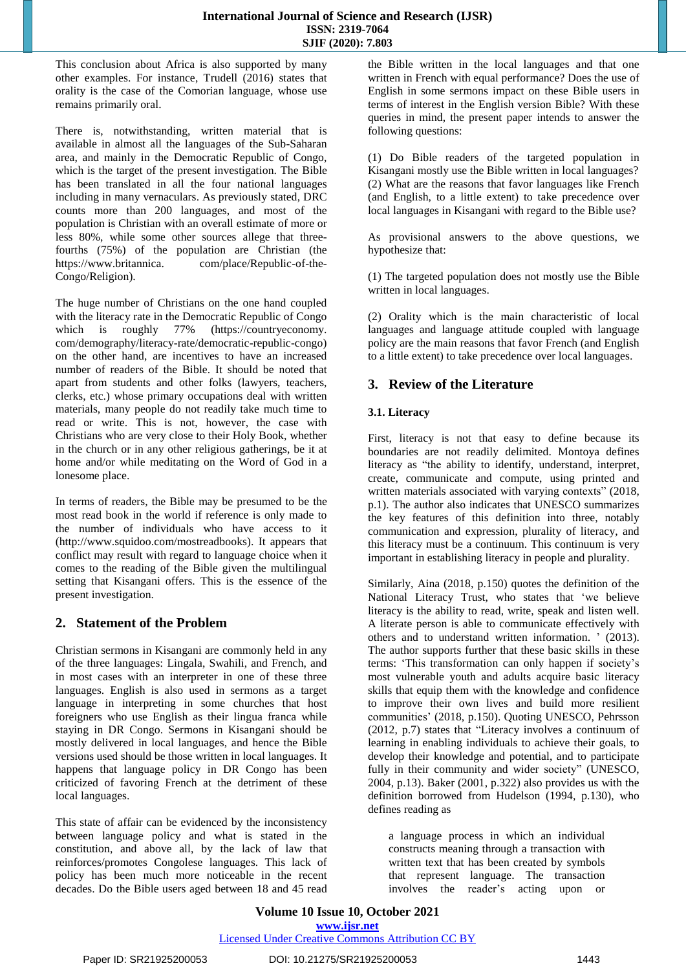This conclusion about Africa is also supported by many other examples. For instance, Trudell (2016) states that orality is the case of the Comorian language, whose use remains primarily oral.

There is, notwithstanding, written material that is available in almost all the languages of the Sub-Saharan area, and mainly in the Democratic Republic of Congo, which is the target of the present investigation. The Bible has been translated in all the four national languages including in many vernaculars. As previously stated, DRC counts more than 200 languages, and most of the population is Christian with an overall estimate of more or less 80%, while some other sources allege that threefourths (75%) of the population are Christian (the https://www.britannica. com/place/Republic-of-the-Congo/Religion).

The huge number of Christians on the one hand coupled with the literacy rate in the Democratic Republic of Congo which is roughly 77% (https://countryeconomy. com/demography/literacy-rate/democratic-republic-congo) on the other hand, are incentives to have an increased number of readers of the Bible. It should be noted that apart from students and other folks (lawyers, teachers, clerks, etc.) whose primary occupations deal with written materials, many people do not readily take much time to read or write. This is not, however, the case with Christians who are very close to their Holy Book, whether in the church or in any other religious gatherings, be it at home and/or while meditating on the Word of God in a lonesome place.

In terms of readers, the Bible may be presumed to be the most read book in the world if reference is only made to the number of individuals who have access to it (http://www.squidoo.com/mostreadbooks). It appears that conflict may result with regard to language choice when it comes to the reading of the Bible given the multilingual setting that Kisangani offers. This is the essence of the present investigation.

# **2. Statement of the Problem**

Christian sermons in Kisangani are commonly held in any of the three languages: Lingala, Swahili, and French, and in most cases with an interpreter in one of these three languages. English is also used in sermons as a target language in interpreting in some churches that host foreigners who use English as their lingua franca while staying in DR Congo. Sermons in Kisangani should be mostly delivered in local languages, and hence the Bible versions used should be those written in local languages. It happens that language policy in DR Congo has been criticized of favoring French at the detriment of these local languages.

This state of affair can be evidenced by the inconsistency between language policy and what is stated in the constitution, and above all, by the lack of law that reinforces/promotes Congolese languages. This lack of policy has been much more noticeable in the recent decades. Do the Bible users aged between 18 and 45 read the Bible written in the local languages and that one written in French with equal performance? Does the use of English in some sermons impact on these Bible users in terms of interest in the English version Bible? With these queries in mind, the present paper intends to answer the following questions:

(1) Do Bible readers of the targeted population in Kisangani mostly use the Bible written in local languages? (2) What are the reasons that favor languages like French (and English, to a little extent) to take precedence over local languages in Kisangani with regard to the Bible use?

As provisional answers to the above questions, we hypothesize that:

(1) The targeted population does not mostly use the Bible written in local languages.

(2) Orality which is the main characteristic of local languages and language attitude coupled with language policy are the main reasons that favor French (and English to a little extent) to take precedence over local languages.

# **3. Review of the Literature**

# **3.1. Literacy**

First, literacy is not that easy to define because its boundaries are not readily delimited. Montoya defines literacy as "the ability to identify, understand, interpret, create, communicate and compute, using printed and written materials associated with varying contexts" (2018, p.1). The author also indicates that UNESCO summarizes the key features of this definition into three, notably communication and expression, plurality of literacy, and this literacy must be a continuum. This continuum is very important in establishing literacy in people and plurality.

Similarly, Aina (2018, p.150) quotes the definition of the National Literacy Trust, who states that 'we believe literacy is the ability to read, write, speak and listen well. A literate person is able to communicate effectively with others and to understand written information. ' (2013). The author supports further that these basic skills in these terms: 'This transformation can only happen if society's most vulnerable youth and adults acquire basic literacy skills that equip them with the knowledge and confidence to improve their own lives and build more resilient communities' (2018, p.150). Quoting UNESCO, Pehrsson (2012, p.7) states that "Literacy involves a continuum of learning in enabling individuals to achieve their goals, to develop their knowledge and potential, and to participate fully in their community and wider society" (UNESCO, 2004, p.13). Baker (2001, p.322) also provides us with the definition borrowed from Hudelson (1994, p.130), who defines reading as

a language process in which an individual constructs meaning through a transaction with written text that has been created by symbols that represent language. The transaction involves the reader's acting upon or

**Volume 10 Issue 10, October 2021 www.ijsr.net** Licensed Under Creative Commons Attribution CC BY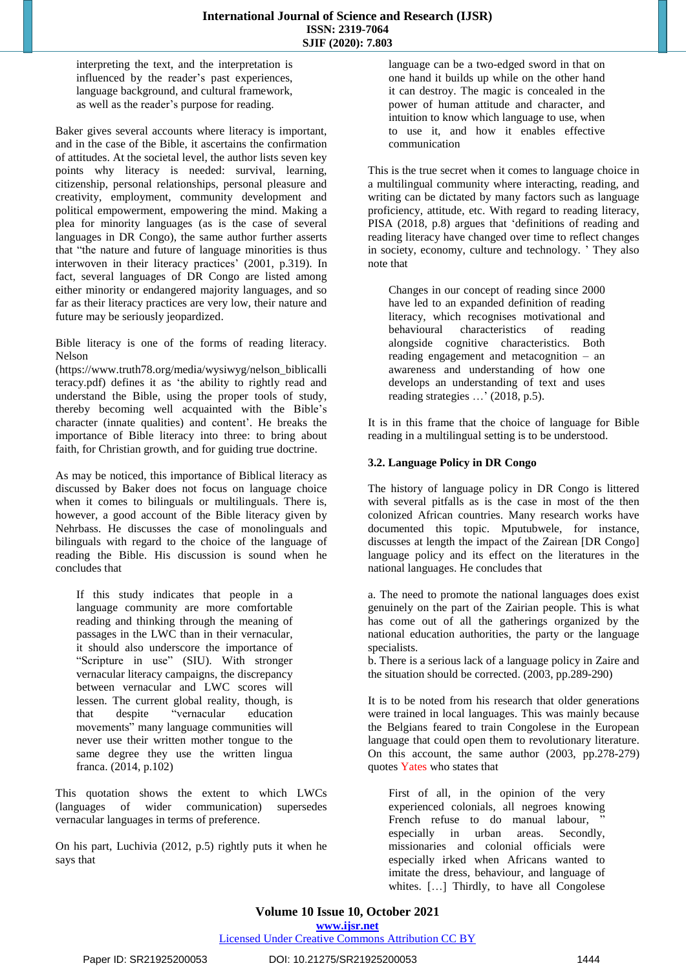interpreting the text, and the interpretation is influenced by the reader's past experiences, language background, and cultural framework, as well as the reader's purpose for reading.

Baker gives several accounts where literacy is important, and in the case of the Bible, it ascertains the confirmation of attitudes. At the societal level, the author lists seven key points why literacy is needed: survival, learning, citizenship, personal relationships, personal pleasure and creativity, employment, community development and political empowerment, empowering the mind. Making a plea for minority languages (as is the case of several languages in DR Congo), the same author further asserts that "the nature and future of language minorities is thus interwoven in their literacy practices' (2001, p.319). In fact, several languages of DR Congo are listed among either minority or endangered majority languages, and so far as their literacy practices are very low, their nature and future may be seriously jeopardized.

Bible literacy is one of the forms of reading literacy. Nelson

(https://www.truth78.org/media/wysiwyg/nelson\_biblicalli teracy.pdf) defines it as 'the ability to rightly read and understand the Bible, using the proper tools of study, thereby becoming well acquainted with the Bible's character (innate qualities) and content'. He breaks the importance of Bible literacy into three: to bring about faith, for Christian growth, and for guiding true doctrine.

As may be noticed, this importance of Biblical literacy as discussed by Baker does not focus on language choice when it comes to bilinguals or multilinguals. There is, however, a good account of the Bible literacy given by Nehrbass. He discusses the case of monolinguals and bilinguals with regard to the choice of the language of reading the Bible. His discussion is sound when he concludes that

If this study indicates that people in a language community are more comfortable reading and thinking through the meaning of passages in the LWC than in their vernacular, it should also underscore the importance of "Scripture in use" (SIU). With stronger vernacular literacy campaigns, the discrepancy between vernacular and LWC scores will lessen. The current global reality, though, is that despite "vernacular education movements" many language communities will never use their written mother tongue to the same degree they use the written lingua franca. (2014, p.102)

This quotation shows the extent to which LWCs (languages of wider communication) supersedes vernacular languages in terms of preference.

On his part, Luchivia (2012, p.5) rightly puts it when he says that

language can be a two-edged sword in that on one hand it builds up while on the other hand it can destroy. The magic is concealed in the power of human attitude and character, and intuition to know which language to use, when to use it, and how it enables effective communication

This is the true secret when it comes to language choice in a multilingual community where interacting, reading, and writing can be dictated by many factors such as language proficiency, attitude, etc. With regard to reading literacy, PISA (2018, p.8) argues that 'definitions of reading and reading literacy have changed over time to reflect changes in society, economy, culture and technology. ' They also note that

Changes in our concept of reading since 2000 have led to an expanded definition of reading literacy, which recognises motivational and behavioural characteristics of reading alongside cognitive characteristics. Both reading engagement and metacognition – an awareness and understanding of how one develops an understanding of text and uses reading strategies …' (2018, p.5).

It is in this frame that the choice of language for Bible reading in a multilingual setting is to be understood.

#### **3.2. Language Policy in DR Congo**

The history of language policy in DR Congo is littered with several pitfalls as is the case in most of the then colonized African countries. Many research works have documented this topic. Mputubwele, for instance, discusses at length the impact of the Zairean [DR Congo] language policy and its effect on the literatures in the national languages. He concludes that

a. The need to promote the national languages does exist genuinely on the part of the Zairian people. This is what has come out of all the gatherings organized by the national education authorities, the party or the language specialists.

b. There is a serious lack of a language policy in Zaire and the situation should be corrected. (2003, pp.289-290)

It is to be noted from his research that older generations were trained in local languages. This was mainly because the Belgians feared to train Congolese in the European language that could open them to revolutionary literature. On this account, the same author (2003, pp.278-279) quotes Yates who states that

First of all, in the opinion of the very experienced colonials, all negroes knowing French refuse to do manual labour, " especially in urban areas. Secondly, missionaries and colonial officials were especially irked when Africans wanted to imitate the dress, behaviour, and language of whites. [...] Thirdly, to have all Congolese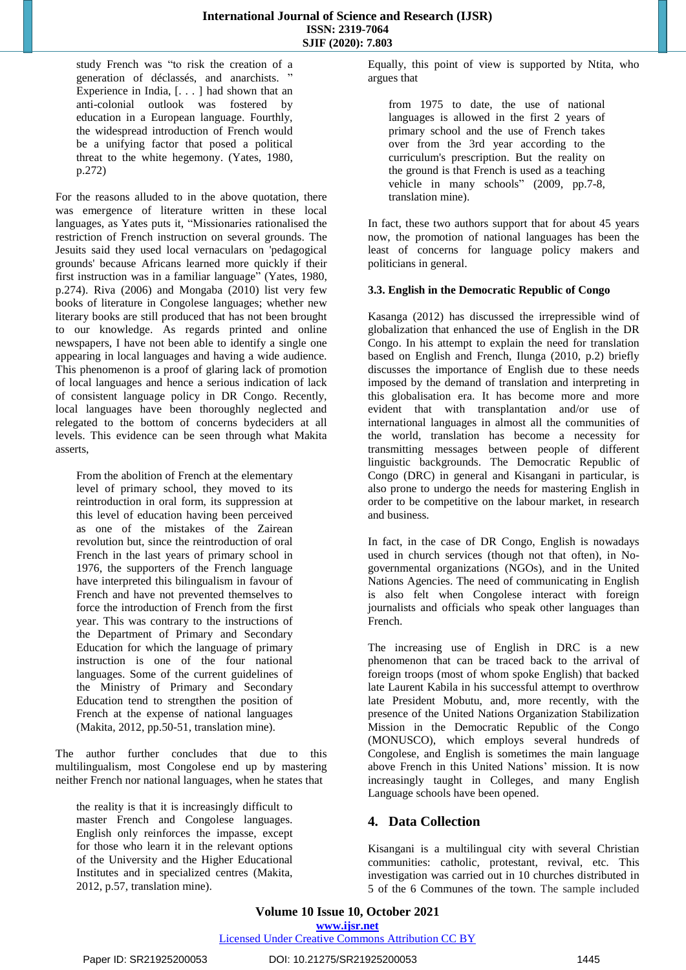study French was "to risk the creation of a generation of déclassés, and anarchists. ' Experience in India, [. . . ] had shown that an anti-colonial outlook was fostered by education in a European language. Fourthly, the widespread introduction of French would be a unifying factor that posed a political threat to the white hegemony. (Yates, 1980, p.272)

For the reasons alluded to in the above quotation, there was emergence of literature written in these local languages, as Yates puts it, "Missionaries rationalised the restriction of French instruction on several grounds. The Jesuits said they used local vernaculars on 'pedagogical grounds' because Africans learned more quickly if their first instruction was in a familiar language" (Yates, 1980, p.274). Riva (2006) and Mongaba (2010) list very few books of literature in Congolese languages; whether new literary books are still produced that has not been brought to our knowledge. As regards printed and online newspapers, I have not been able to identify a single one appearing in local languages and having a wide audience. This phenomenon is a proof of glaring lack of promotion of local languages and hence a serious indication of lack of consistent language policy in DR Congo. Recently, local languages have been thoroughly neglected and relegated to the bottom of concerns bydeciders at all levels. This evidence can be seen through what Makita asserts,

From the abolition of French at the elementary level of primary school, they moved to its reintroduction in oral form, its suppression at this level of education having been perceived as one of the mistakes of the Zairean revolution but, since the reintroduction of oral French in the last years of primary school in 1976, the supporters of the French language have interpreted this bilingualism in favour of French and have not prevented themselves to force the introduction of French from the first year. This was contrary to the instructions of the Department of Primary and Secondary Education for which the language of primary instruction is one of the four national languages. Some of the current guidelines of the Ministry of Primary and Secondary Education tend to strengthen the position of French at the expense of national languages (Makita, 2012, pp.50-51, translation mine).

The author further concludes that due to this multilingualism, most Congolese end up by mastering neither French nor national languages, when he states that

the reality is that it is increasingly difficult to master French and Congolese languages. English only reinforces the impasse, except for those who learn it in the relevant options of the University and the Higher Educational Institutes and in specialized centres (Makita, 2012, p.57, translation mine).

Equally, this point of view is supported by Ntita, who argues that

from 1975 to date, the use of national languages is allowed in the first 2 years of primary school and the use of French takes over from the 3rd year according to the curriculum's prescription. But the reality on the ground is that French is used as a teaching vehicle in many schools" (2009, pp.7-8, translation mine).

In fact, these two authors support that for about 45 years now, the promotion of national languages has been the least of concerns for language policy makers and politicians in general.

#### **3.3. English in the Democratic Republic of Congo**

Kasanga (2012) has discussed the irrepressible wind of globalization that enhanced the use of English in the DR Congo. In his attempt to explain the need for translation based on English and French, Ilunga (2010, p.2) briefly discusses the importance of English due to these needs imposed by the demand of translation and interpreting in this globalisation era. It has become more and more evident that with transplantation and/or use of international languages in almost all the communities of the world, translation has become a necessity for transmitting messages between people of different linguistic backgrounds. The Democratic Republic of Congo (DRC) in general and Kisangani in particular, is also prone to undergo the needs for mastering English in order to be competitive on the labour market, in research and business.

In fact, in the case of DR Congo, English is nowadays used in church services (though not that often), in Nogovernmental organizations (NGOs), and in the United Nations Agencies. The need of communicating in English is also felt when Congolese interact with foreign journalists and officials who speak other languages than French.

The increasing use of English in DRC is a new phenomenon that can be traced back to the arrival of foreign troops (most of whom spoke English) that backed late Laurent Kabila in his successful attempt to overthrow late President Mobutu, and, more recently, with the presence of the United Nations Organization Stabilization Mission in the Democratic Republic of the Congo (MONUSCO), which employs several hundreds of Congolese, and English is sometimes the main language above French in this United Nations' mission. It is now increasingly taught in Colleges, and many English Language schools have been opened.

# **4. Data Collection**

Kisangani is a multilingual city with several Christian communities: catholic, protestant, revival, etc. This investigation was carried out in 10 churches distributed in 5 of the 6 Communes of the town. The sample included

#### **Volume 10 Issue 10, October 2021 www.ijsr.net**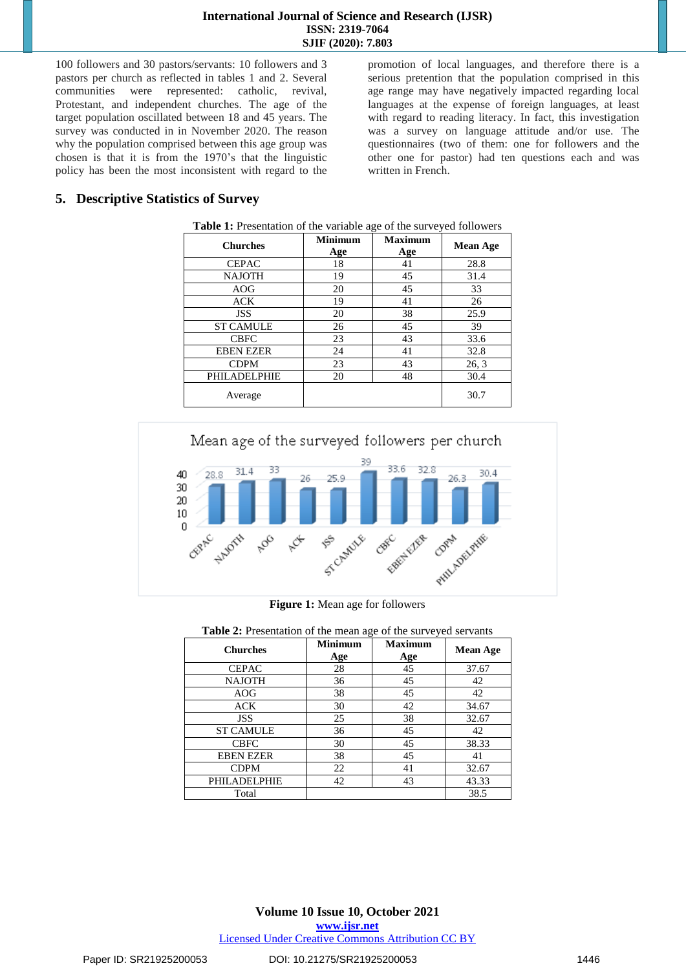100 followers and 30 pastors/servants: 10 followers and 3 pastors per church as reflected in tables 1 and 2. Several communities were represented: catholic, revival, Protestant, and independent churches. The age of the target population oscillated between 18 and 45 years. The survey was conducted in in November 2020. The reason why the population comprised between this age group was chosen is that it is from the 1970's that the linguistic policy has been the most inconsistent with regard to the promotion of local languages, and therefore there is a serious pretention that the population comprised in this age range may have negatively impacted regarding local languages at the expense of foreign languages, at least with regard to reading literacy. In fact, this investigation was a survey on language attitude and/or use. The questionnaires (two of them: one for followers and the other one for pastor) had ten questions each and was written in French.

# **5. Descriptive Statistics of Survey**

| <b>Churches</b>  | <b>Minimum</b><br>Age | <b>Maximum</b><br>Age | <b>Mean Age</b> |
|------------------|-----------------------|-----------------------|-----------------|
| <b>CEPAC</b>     | 18                    | 41                    | 28.8            |
| <b>NAJOTH</b>    | 19                    | 45                    | 31.4            |
| AOG              | 20                    | 45                    | 33              |
| <b>ACK</b>       | 19                    | 41                    | 26              |
| <b>JSS</b>       | 20                    | 38                    | 25.9            |
| <b>ST CAMULE</b> | 26                    | 45                    | 39              |
| <b>CBFC</b>      | 23                    | 43                    | 33.6            |
| <b>EBEN EZER</b> | 24                    | 41                    | 32.8            |
| <b>CDPM</b>      | 23                    | 43                    | 26, 3           |
| PHILADELPHIE     | 20                    | 48                    | 30.4            |
| Average          |                       |                       | 30.7            |

| Table 1: Presentation of the variable age of the surveyed followers |  |  |
|---------------------------------------------------------------------|--|--|
|                                                                     |  |  |



**Figure 1:** Mean age for followers

| <b>Table 2:</b> Presentation of the mean age of the surveyed servants |                       |                       |                 |
|-----------------------------------------------------------------------|-----------------------|-----------------------|-----------------|
| <b>Churches</b>                                                       | <b>Minimum</b><br>Age | <b>Maximum</b><br>Age | <b>Mean Age</b> |
| <b>CEPAC</b>                                                          | 28                    | 45                    | 37.67           |
| <b>NAJOTH</b>                                                         | 36                    | 45                    | 42              |
| AOG                                                                   | 38                    | 45                    | 42              |
| <b>ACK</b>                                                            | 30                    | 42                    | 34.67           |
| <b>JSS</b>                                                            | 25                    | 38                    | 32.67           |
| <b>ST CAMULE</b>                                                      | 36                    | 45                    | 42              |
| <b>CBFC</b>                                                           | 30                    | 45                    | 38.33           |
| <b>EBEN EZER</b>                                                      | 38                    | 45                    | 41              |
| <b>CDPM</b>                                                           | 22                    | 41                    | 32.67           |
| PHILADELPHIE                                                          | 42                    | 43                    | 43.33           |
| Total                                                                 |                       |                       | 38.5            |

**Table 2:** Presentation of the mean age of the surveyed servants

### Paper ID: SR21925200053 DOI: 10.21275/SR21925200053 1446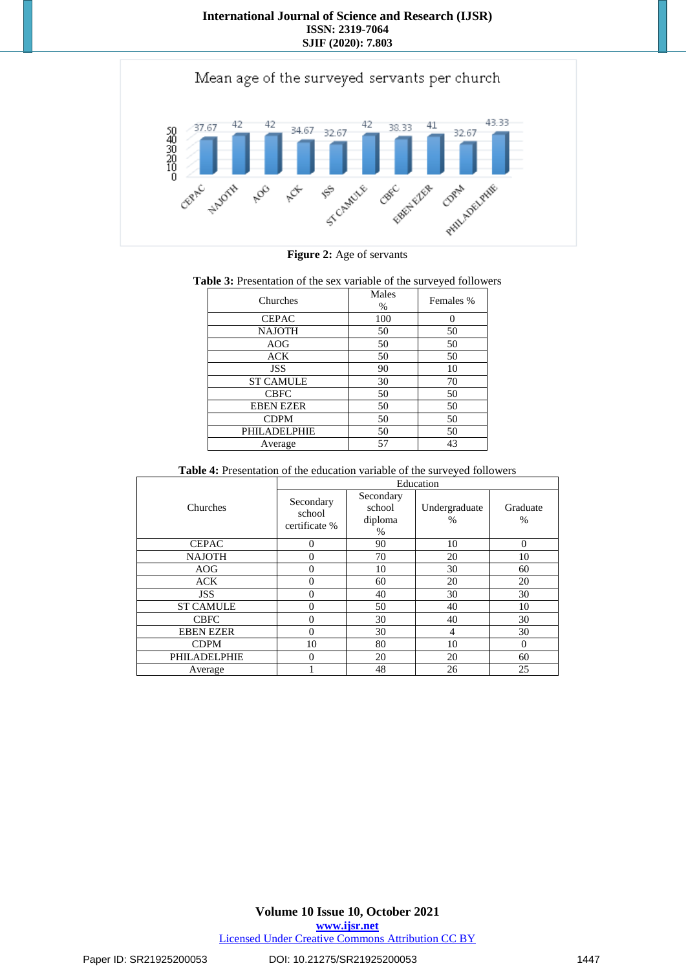

|  |  |  |  | Figure 2: Age of servants |
|--|--|--|--|---------------------------|
|--|--|--|--|---------------------------|

#### **Table 3:** Presentation of the sex variable of the surveyed followers

| Churches         | Males<br>% | Females % |
|------------------|------------|-----------|
| <b>CEPAC</b>     | 100        | 0         |
| <b>NAJOTH</b>    | 50         | 50        |
| AOG              | 50         | 50        |
| <b>ACK</b>       | 50         | 50        |
| <b>JSS</b>       | 90         | 10        |
| <b>ST CAMULE</b> | 30         | 70        |
| <b>CBFC</b>      | 50         | 50        |
| <b>EBEN EZER</b> | 50         | 50        |
| <b>CDPM</b>      | 50         | 50        |
| PHILADELPHIE     | 50         | 50        |
| Average          | 57         | 43        |

#### **Table 4:** Presentation of the education variable of the surveyed followers

|                     | Education                            |                                     |                       |                  |  |  |  |  |  |  |  |  |  |
|---------------------|--------------------------------------|-------------------------------------|-----------------------|------------------|--|--|--|--|--|--|--|--|--|
| Churches            | Secondary<br>school<br>certificate % | Secondary<br>school<br>diploma<br>% | Undergraduate<br>$\%$ | Graduate<br>$\%$ |  |  |  |  |  |  |  |  |  |
| <b>CEPAC</b>        | $\Omega$                             | 90                                  | 10                    | $\Omega$         |  |  |  |  |  |  |  |  |  |
| <b>NAJOTH</b>       | $\theta$                             | 70                                  | 20                    | 10               |  |  |  |  |  |  |  |  |  |
| <b>AOG</b>          | $\theta$                             | 10                                  | 30                    | 60               |  |  |  |  |  |  |  |  |  |
| <b>ACK</b>          | 0                                    | 60                                  | 20                    | 20               |  |  |  |  |  |  |  |  |  |
| <b>JSS</b>          | $\theta$                             | 40                                  | 30                    | 30               |  |  |  |  |  |  |  |  |  |
| <b>ST CAMULE</b>    | $\Omega$                             | 50                                  | 40                    | 10               |  |  |  |  |  |  |  |  |  |
| <b>CBFC</b>         | $\theta$                             | 30                                  | 40                    | 30               |  |  |  |  |  |  |  |  |  |
| <b>EBEN EZER</b>    | 0                                    | 30                                  | 4                     | 30               |  |  |  |  |  |  |  |  |  |
| <b>CDPM</b>         | 10                                   | 80                                  | 10                    | $\Omega$         |  |  |  |  |  |  |  |  |  |
| <b>PHILADELPHIE</b> | $\Omega$                             | 20                                  | 20                    | 60               |  |  |  |  |  |  |  |  |  |
| Average             |                                      | 48                                  | 26                    | 25               |  |  |  |  |  |  |  |  |  |

#### Paper ID: SR21925200053 DOI: 10.21275/SR21925200053 1447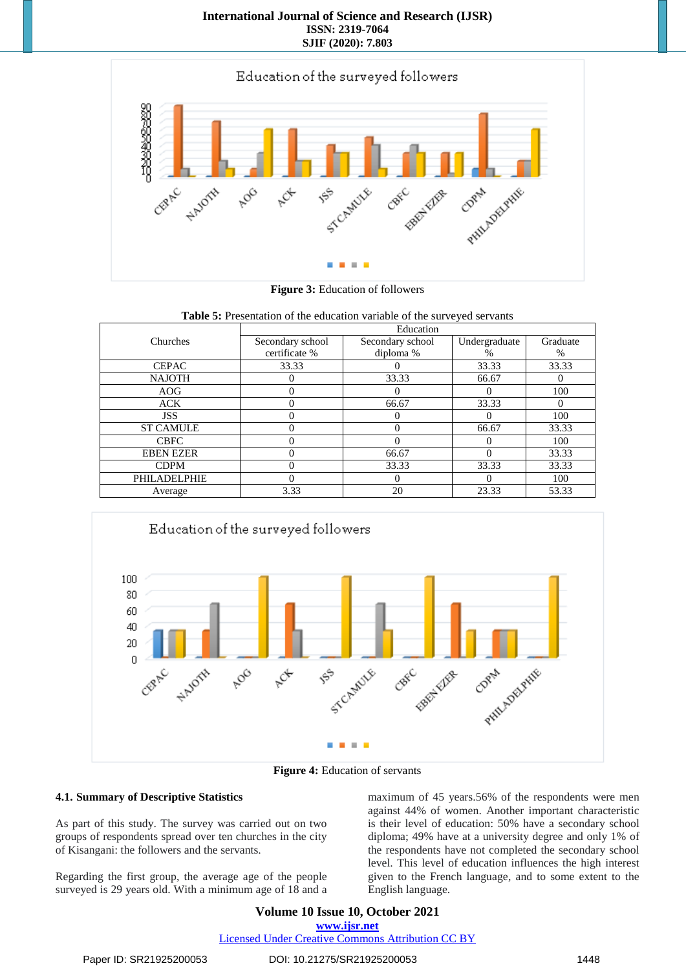

**Figure 3:** Education of followers

|                  | Table 5: Presentation of the education variable of the surveyed servants |                  |               |          |
|------------------|--------------------------------------------------------------------------|------------------|---------------|----------|
|                  |                                                                          | Education        |               |          |
| Churches         | Secondary school<br>certificate %                                        | Secondary school | Undergraduate | Graduate |
|                  |                                                                          | diploma %        | %             | $\%$     |
| <b>CEPAC</b>     | 33.33                                                                    |                  | 33.33         | 33.33    |
| <b>NAJOTH</b>    |                                                                          | 33.33            | 66.67         |          |
| AOG              |                                                                          |                  |               | 100      |
| <b>ACK</b>       |                                                                          | 66.67            | 33.33         | $\theta$ |
| <b>JSS</b>       |                                                                          |                  |               | 100      |
| <b>ST CAMULE</b> |                                                                          |                  | 66.67         | 33.33    |
| <b>CBFC</b>      |                                                                          |                  |               | 100      |
| <b>EBEN EZER</b> |                                                                          | 66.67            |               | 33.33    |
| <b>CDPM</b>      |                                                                          | 33.33            | 33.33         | 33.33    |
| PHILADELPHIE     |                                                                          |                  |               | 100      |
| Average          | 3.33                                                                     | 20               | 23.33         | 53.33    |



**Figure 4:** Education of servants

### **4.1. Summary of Descriptive Statistics**

As part of this study. The survey was carried out on two groups of respondents spread over ten churches in the city of Kisangani: the followers and the servants.

Regarding the first group, the average age of the people surveyed is 29 years old. With a minimum age of 18 and a maximum of 45 years.56% of the respondents were men against 44% of women. Another important characteristic is their level of education: 50% have a secondary school diploma; 49% have at a university degree and only 1% of the respondents have not completed the secondary school level. This level of education influences the high interest given to the French language, and to some extent to the English language.

**Volume 10 Issue 10, October 2021 www.ijsr.net** Licensed Under Creative Commons Attribution CC BY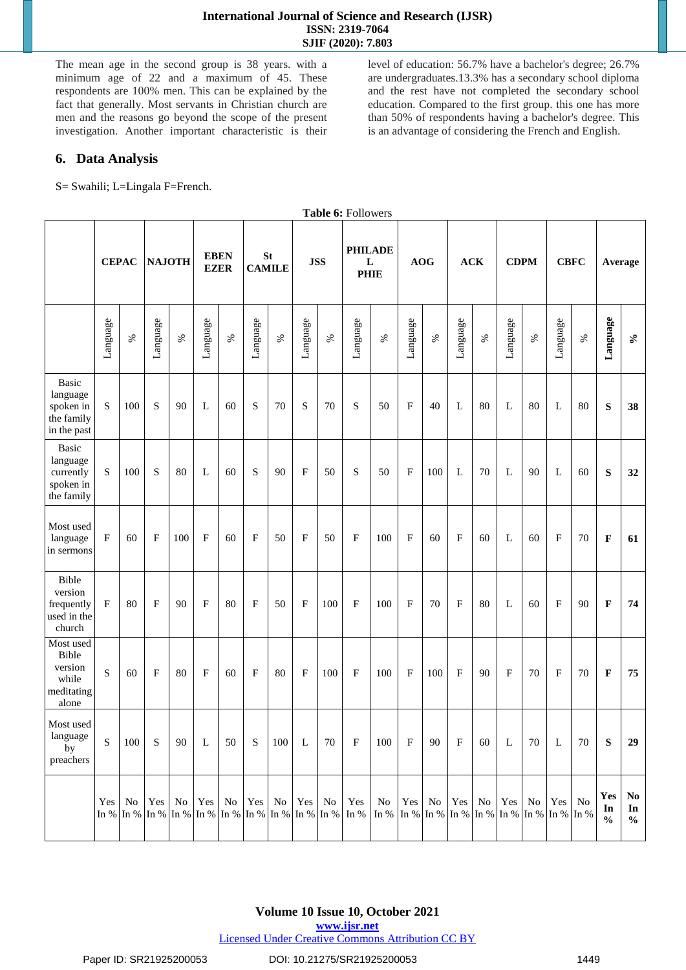The mean age in the second group is 38 years. with a minimum age of 22 and a maximum of 45. These respondents are 100% men. This can be explained by the fact that generally. Most servants in Christian church are men and the reasons go beyond the scope of the present investigation. Another important characteristic is their level of education: 56.7% have a bachelor's degree; 26.7% are undergraduates.13.3% has a secondary school diploma and the rest have not completed the secondary school education. Compared to the first group. this one has more than 50% of respondents having a bachelor's degree. This is an advantage of considering the French and English.

### **6. Data Analysis**

S= Swahili; L=Lingala F=French.

|                                                                    |              |              |           |               |                            |      |               |               |                           |            | Table 6: Followers                 |                                                                           |                |            |              |            |          |             |                           |             |                            |                  |
|--------------------------------------------------------------------|--------------|--------------|-----------|---------------|----------------------------|------|---------------|---------------|---------------------------|------------|------------------------------------|---------------------------------------------------------------------------|----------------|------------|--------------|------------|----------|-------------|---------------------------|-------------|----------------------------|------------------|
|                                                                    |              | <b>CEPAC</b> |           | <b>NAJOTH</b> | <b>EBEN</b><br><b>EZER</b> |      | <b>CAMILE</b> | <b>St</b>     |                           | <b>JSS</b> | <b>PHILADE</b><br>L<br><b>PHIE</b> |                                                                           |                | <b>AOG</b> |              | <b>ACK</b> |          | <b>CDPM</b> |                           | <b>CBFC</b> |                            | Average          |
|                                                                    | Language     | $\%$         | Language  | $\%$          | Language                   | $\%$ | Language      | $\%$          | Language                  | $\%$       | Language                           | $\%$                                                                      | Language       | $\%$       | Language     | $\%$       | Language | $\%$        | Language                  | $\%$        | Language                   | $\mathcal{S}$    |
| <b>Basic</b><br>language<br>spoken in<br>the family<br>in the past | S            | 100          | S         | 90            | L                          | 60   | ${\bf S}$     | 70            | S                         | 70         | ${\bf S}$                          | 50                                                                        | $\mathbf{F}$   | 40         | L            | 80         | L        | 80          | L                         | 80          | S                          | 38               |
| <b>Basic</b><br>language<br>currently<br>spoken in<br>the family   | S            | 100          | S         | 80            | L                          | 60   | ${\bf S}$     | 90            | $\mathbf F$               | 50         | ${\bf S}$                          | 50                                                                        | F              | 100        | L            | 70         | L        | 90          | $\mathbf L$               | 60          | S                          | 32               |
| Most used<br>language<br>in sermons                                | $\mathbf{F}$ | 60           | $\rm F$   | 100           | $\mathbf{F}$               | 60   | $\rm F$       | 50            | $\mathbf F$               | 50         | $\mathbf F$                        | 100                                                                       | $\mathbf{F}$   | 60         | $\mathbf{F}$ | 60         | L        | 60          | $\boldsymbol{\mathrm{F}}$ | 70          | $\mathbf F$                | 61               |
| Bible<br>version<br>frequently<br>used in the<br>church            | $\mathbf{F}$ | 80           | $\rm F$   | 90            | $\overline{F}$             | 80   | $\mathbf{F}$  | 50            | $\boldsymbol{\mathrm{F}}$ | 100        | $\overline{F}$                     | 100                                                                       | $\overline{F}$ | 70         | $\mathbf{F}$ | 80         | L        | 60          | $\mathbf F$               | 90          | $\mathbf F$                | 74               |
| Most used<br>Bible<br>version<br>while<br>meditating<br>alone      | S            | 60           | $\rm F$   | 80            | $\overline{F}$             | 60   | $\mathbf{F}$  | 80            | $\mathbf F$               | 100        | F                                  | 100                                                                       | F              | 100        | $\mathbf{F}$ | 90         | $\rm F$  | 70          | $\boldsymbol{\mathrm{F}}$ | 70          | $\mathbf F$                | 75               |
| Most used<br>language<br>by<br>preachers                           | S            | 100          | ${\bf S}$ | 90            | L                          | 50   | S             | 100           | L                         | 70         | $_{\rm F}$                         | 100                                                                       | $\mathbf F$    | 90         | $\mathbf F$  | 60         | L        | 70          | L                         | 70          | ${\bf S}$                  | 29               |
|                                                                    | Yes          | No           |           | Yes No        | Yes No                     |      |               | Yes No Yes No |                           |            | Yes                                | No<br>In %   In %   In %   In %   In %   In %   In %   In %   In %   In % |                | Yes No     | Yes No       |            | Yes      | No          | Yes                       | No          | Yes<br>In<br>$\frac{0}{0}$ | No<br>In<br>$\%$ |

**Volume 10 Issue 10, October 2021**

**www.ijsr.net**

Licensed Under Creative Commons Attribution CC BY

#### Paper ID: SR21925200053 DOI: 10.21275/SR21925200053 1449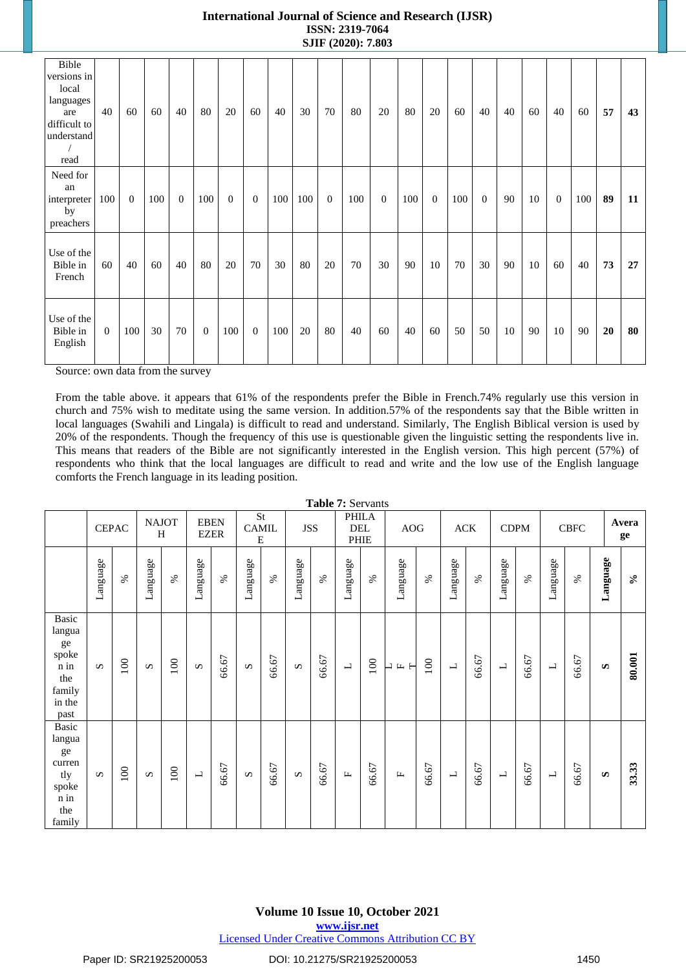| Bible<br>versions in<br>local<br>languages<br>are<br>difficult to<br>understand<br>read | 40           | 60             | 60  | 40             | 80             | 20       | 60             | 40  | 30  | 70       | 80  | 20             | 80  | 20             | 60  | 40       | $40\,$ | 60 | 40             | 60  | 57 | 43 |
|-----------------------------------------------------------------------------------------|--------------|----------------|-----|----------------|----------------|----------|----------------|-----|-----|----------|-----|----------------|-----|----------------|-----|----------|--------|----|----------------|-----|----|----|
| Need for<br>an<br>interpreter<br>by<br>preachers                                        | 100          | $\overline{0}$ | 100 | $\overline{0}$ | 100            | $\theta$ | $\overline{0}$ | 100 | 100 | $\theta$ | 100 | $\overline{0}$ | 100 | $\overline{0}$ | 100 | $\theta$ | 90     | 10 | $\overline{0}$ | 100 | 89 | 11 |
| Use of the<br>Bible in<br>French                                                        | 60           | 40             | 60  | 40             | 80             | 20       | 70             | 30  | 80  | 20       | 70  | 30             | 90  | 10             | 70  | 30       | 90     | 10 | 60             | 40  | 73 | 27 |
| Use of the<br>Bible in<br>English                                                       | $\mathbf{0}$ | 100            | 30  | 70             | $\overline{0}$ | 100      | $\overline{0}$ | 100 | 20  | 80       | 40  | 60             | 40  | 60             | 50  | 50       | 10     | 90 | 10             | 90  | 20 | 80 |

Source: own data from the survey

From the table above. it appears that 61% of the respondents prefer the Bible in French.74% regularly use this version in church and 75% wish to meditate using the same version. In addition.57% of the respondents say that the Bible written in local languages (Swahili and Lingala) is difficult to read and understand. Similarly, The English Biblical version is used by 20% of the respondents. Though the frequency of this use is questionable given the linguistic setting the respondents live in. This means that readers of the Bible are not significantly interested in the English version. This high percent (57%) of respondents who think that the local languages are difficult to read and write and the low use of the English language comforts the French language in its leading position.

|                                                                           |                       |              |                       |                   |                          |                            |                       |                              |                       |       | Table 7: Servants                  |       |                                               |          |                          |             |                          |             |                          |       |                       |               |
|---------------------------------------------------------------------------|-----------------------|--------------|-----------------------|-------------------|--------------------------|----------------------------|-----------------------|------------------------------|-----------------------|-------|------------------------------------|-------|-----------------------------------------------|----------|--------------------------|-------------|--------------------------|-------------|--------------------------|-------|-----------------------|---------------|
|                                                                           |                       | <b>CEPAC</b> |                       | <b>NAJOT</b><br>H |                          | <b>EBEN</b><br><b>EZER</b> | <b>CAMIL</b><br>Ε     | $\operatorname{\mathsf{St}}$ | <b>JSS</b>            |       | <b>PHILA</b><br><b>DEL</b><br>PHIE |       | AOG                                           |          |                          | ${\rm ACK}$ |                          | <b>CDPM</b> |                          | CBFC  |                       | Avera<br>ge   |
|                                                                           | Language              | $\%$         | Language              | $\%$              | Language                 | $\%$                       | Language              | $\%$                         | Language              | $\%$  | Language                           | $\%$  | Language                                      | $\aleph$ | Language                 | $\%$        | Language                 | $\%$        | Language                 | $\%$  | Language              | $\mathcal{S}$ |
| Basic<br>langua<br>ge<br>spoke<br>n in<br>the<br>family<br>in the<br>past | $\boldsymbol{\omega}$ | 100          | $\boldsymbol{\omega}$ | 100               | $\boldsymbol{\omega}$    | 66.67                      | $\boldsymbol{\omega}$ | 66.67                        | $\boldsymbol{\omega}$ | 66.67 | $\overline{\phantom{0}}$           | 100   | $\mathbbm{H}$ $\mathbbm{H}$<br>$\blacksquare$ | 100      | $\blacksquare$           | 66.67       | $\overline{\phantom{a}}$ | 66.67       | $\blacksquare$           | 66.67 | $\boldsymbol{\omega}$ | 80.001        |
| Basic<br>langua<br>ge<br>curren<br>tly<br>spoke<br>n in<br>the<br>family  | $\boldsymbol{\omega}$ | 100          | $\boldsymbol{\omega}$ | 100               | $\overline{\phantom{a}}$ | 66.67                      | $\boldsymbol{\omega}$ | 66.67                        | $\boldsymbol{\omega}$ | 66.67 | $\mathbf{L}$                       | 66.67 | $\mathbf{L}$                                  | 66.67    | $\overline{\phantom{a}}$ | 66.67       | $\overline{\phantom{a}}$ | 66.67       | $\overline{\phantom{a}}$ | 66.67 | $\boldsymbol{\omega}$ | 33.33         |

**Volume 10 Issue 10, October 2021**

**www.ijsr.net**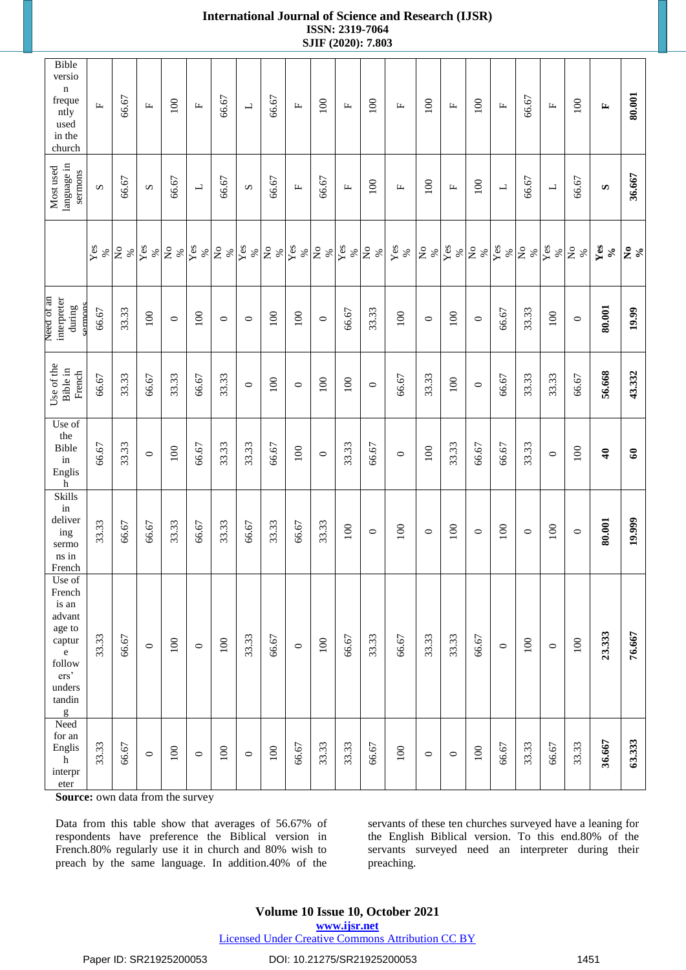| Bible<br>versio<br>$\mathbf n$<br>freque<br>ntly<br>used<br>in the<br>church                                  | $\mathbf{L}$ | 66.67            | Щ                                  | 100                          | $\mathbb{L}$             | 66.67                          | $\overline{\phantom{a}}$ | 66.67                                  | $\mathbf{L}$        | 100                                     | $\mathbf{L}$        | 100                                 | $\mathbf{L}$         | 100                            | $\mathbb{L}$        | 100                                 | $\mathbf{L}$             | 66.67                                       | $\mathbf{L}$             | 100                                      | E                                 | 80.001       |
|---------------------------------------------------------------------------------------------------------------|--------------|------------------|------------------------------------|------------------------------|--------------------------|--------------------------------|--------------------------|----------------------------------------|---------------------|-----------------------------------------|---------------------|-------------------------------------|----------------------|--------------------------------|---------------------|-------------------------------------|--------------------------|---------------------------------------------|--------------------------|------------------------------------------|-----------------------------------|--------------|
| language in<br>Most used<br>sermons                                                                           | S            | 66.67            | S                                  | 66.67                        | $\overline{\phantom{0}}$ | 66.67                          | S                        | 66.67                                  | $\mathbf{L}$        | 66.67                                   | $\mathbf{L}$        | 100                                 | Щ                    | 100                            | $\mathbb{L}$        | 100                                 | $\overline{\phantom{a}}$ | 66.67                                       | $\overline{\phantom{a}}$ | 66.67                                    | S                                 | 36.667       |
|                                                                                                               | Yes<br>%     | $\tilde{z}$<br>% | $\overline{\mathbf{Y}}$ es<br>$\%$ | $\overline{\mathsf{z}}$<br>% | Yes<br>%                 | $\mathsf{S}^{\mathsf{o}}$<br>% | Yes<br>%                 | $\stackrel{\circ}{\mathsf{Z}}$<br>$\%$ | $\mathbf{Yes}$<br>% | $\stackrel{\circ}{\phantom{}_{\sim}}$ % | $\mathbf{Yes}$<br>% | $\stackrel{\circ}{\mathsf{Z}}$<br>% | ${\bf \hat{Y}}_{es}$ | $\mathsf{S}^{\mathsf{o}}$<br>% | $\mathbf{Yes}$<br>% | $\stackrel{\circ}{\mathbf{Z}}$<br>% | $\mathbf{Yes}$<br>$\%$   | $\stackrel{\mathtt{o}}{\mathsf{z}}$<br>$\%$ | Yes<br>%                 | $\stackrel{\mathtt{o}}{\mathsf{z}}$<br>% | Yes<br>$\mathcal{S}_{\mathbf{0}}$ | $2^{\circ}$  |
| Need of an<br>interpreter<br>during<br>sermon                                                                 | 66.67        | 33.33            | 100                                | $\circ$                      | 100                      | $\circ$                        | $\circ$                  | 100                                    | 100                 | $\circ$                                 | 66.67               | 33.33                               | 100                  | $\circ$                        | 100                 | $\circ$                             | 66.67                    | 33.33                                       | 100                      | $\circ$                                  | 80.001                            | 19.99        |
| Use of the<br>Bible in<br>French                                                                              | 66.67        | 33.33            | 66.67                              | 33.33                        | 66.67                    | 33.33                          | $\circ$                  | 100                                    | $\circ$             | 100                                     | 100                 | $\circ$                             | 66.67                | 33.33                          | 100                 | $\circ$                             | 66.67                    | 33.33                                       | 33.33                    | 66.67                                    | 56.668                            | 43.332       |
| Use of<br>the<br>Bible<br>in<br>Englis<br>$\overline{\mathbf{h}}$                                             | 66.67        | 33.33            | $\circ$                            | 100                          | 66.67                    | 33.33                          | 33.33                    | 66.67                                  | 100                 | $\circ$                                 | 33.33               | 66.67                               | $\circ$              | 100                            | 33.33               | 66.67                               | 66.67                    | 33.33                                       | $\circ$                  | 100                                      | $\ddot{\bullet}$                  | $\mathbf{C}$ |
| Skills<br>in<br>deliver<br>ing<br>sermo<br>ns in<br>French                                                    | 33.33        | 66.67            | 66.67                              | 33.33                        | 66.67                    | 33.33                          | 66.67                    | 33.33                                  | 66.67               | 33.33                                   | 100                 | $\circ$                             | 100                  | $\circ$                        | 100                 | $\circ$                             | 100                      | $\circ$                                     | 100                      | $\circ$                                  | 80.001                            | 19.999       |
| Use of<br>French<br>is an<br>advant<br>age to<br>captur<br>$\rm e$<br>follow<br>ers'<br>unders<br>tandin<br>g | 33.33        | 66.67            | $\circ$                            | 100                          | $\circ$                  | 100                            | 33.33                    | 66.67                                  | $\circ$             | 100                                     | 66.67               | 33.33                               | 66.67                | 33.33                          | 33.33               | 66.67                               | $\circ$                  | 100                                         | $\circ$                  | 100                                      | 23.333                            | 76.667       |
| Need<br>for an<br>Englis<br>$\mathbf h$<br>interpr<br>$\,$ eter                                               | 33.33        | 66.67            | $\circ$                            | 100                          | $\circ$                  | 100                            | $\circ$                  | 100                                    | 66.67               | 33.33                                   | 33.33               | 66.67                               | $100\,$              | $\circ$                        | $\circ$             | $100\,$                             | 66.67                    | 33.33                                       | 66.67                    | 33.33                                    | 36.667                            | 63.333       |

**Source:** own data from the survey

Data from this table show that averages of 56.67% of respondents have preference the Biblical version in French.80% regularly use it in church and 80% wish to preach by the same language. In addition.40% of the

servants of these ten churches surveyed have a leaning for the English Biblical version. To this end.80% of the servants surveyed need an interpreter during their preaching.

# **Volume 10 Issue 10, October 2021**

**www.ijsr.net**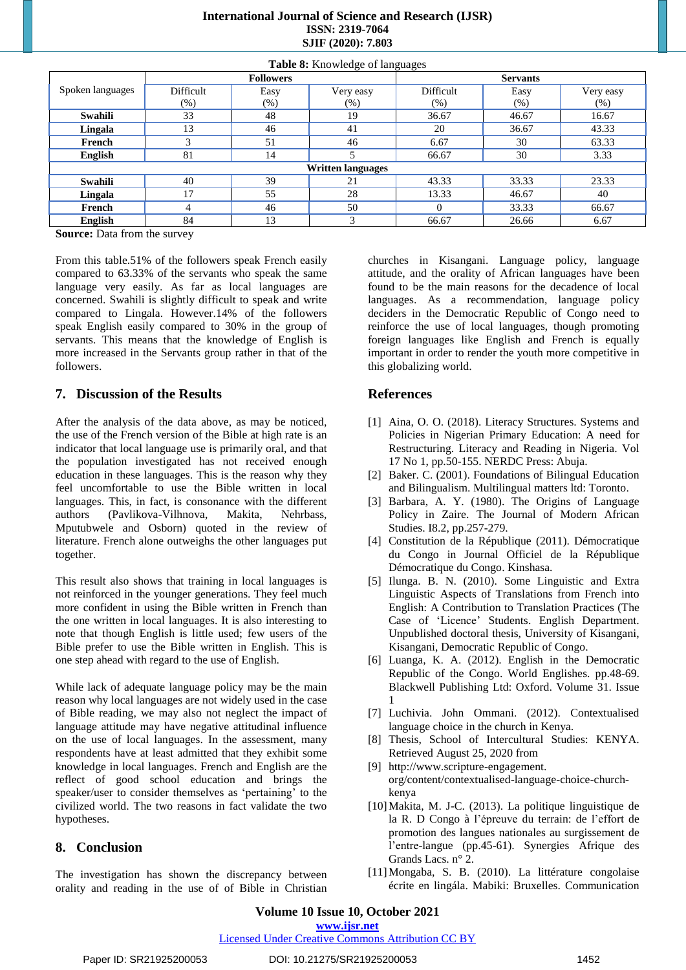| <b>International Journal of Science and Research (IJSR)</b> |
|-------------------------------------------------------------|
| <b>ISSN: 2319-7064</b>                                      |
| SJIF (2020): 7.803                                          |

|                                              | <b>Followers</b> |        |           | <b>Servants</b> |         |           |
|----------------------------------------------|------------------|--------|-----------|-----------------|---------|-----------|
| Spoken languages                             | Difficult        | Easy   | Very easy | Difficult       | Easy    | Very easy |
|                                              | $(\%)$           | $(\%)$ | $(\%)$    | (% )            | $(\% )$ | $(\%)$    |
| Swahili                                      | 33               | 48     | 19        | 36.67           | 46.67   | 16.67     |
| Lingala                                      | 13               | 46     | 41        | 20              | 36.67   | 43.33     |
| French                                       |                  | 51     | 46        | 6.67            | 30      | 63.33     |
| English                                      | 81               | 14     |           | 66.67           | 30      | 3.33      |
| <b>Written languages</b>                     |                  |        |           |                 |         |           |
| Swahili                                      | 40               | 39     | 21        | 43.33           | 33.33   | 23.33     |
| Lingala                                      | 17               | 55     | 28        | 13.33           | 46.67   | 40        |
| French                                       | 4                | 46     | 50        |                 | 33.33   | 66.67     |
| <b>English</b>                               | 84               | 13     | 3         | 66.67           | 26.66   | 6.67      |
| $\sim$<br>$\sim$ $\sim$ $\sim$ $\sim$ $\sim$ |                  |        |           |                 |         |           |

**Table 8:** Knowledge of languages

**Source:** Data from the survey

From this table.51% of the followers speak French easily compared to 63.33% of the servants who speak the same language very easily. As far as local languages are concerned. Swahili is slightly difficult to speak and write compared to Lingala. However.14% of the followers speak English easily compared to 30% in the group of servants. This means that the knowledge of English is more increased in the Servants group rather in that of the followers.

#### **7. Discussion of the Results**

After the analysis of the data above, as may be noticed, the use of the French version of the Bible at high rate is an indicator that local language use is primarily oral, and that the population investigated has not received enough education in these languages. This is the reason why they feel uncomfortable to use the Bible written in local languages. This, in fact, is consonance with the different authors (Pavlikova-Vilhnova, Makita, Nehrbass, Mputubwele and Osborn) quoted in the review of literature. French alone outweighs the other languages put together.

This result also shows that training in local languages is not reinforced in the younger generations. They feel much more confident in using the Bible written in French than the one written in local languages. It is also interesting to note that though English is little used; few users of the Bible prefer to use the Bible written in English. This is one step ahead with regard to the use of English.

While lack of adequate language policy may be the main reason why local languages are not widely used in the case of Bible reading, we may also not neglect the impact of language attitude may have negative attitudinal influence on the use of local languages. In the assessment, many respondents have at least admitted that they exhibit some knowledge in local languages. French and English are the reflect of good school education and brings the speaker/user to consider themselves as 'pertaining' to the civilized world. The two reasons in fact validate the two hypotheses.

#### **8. Conclusion**

The investigation has shown the discrepancy between orality and reading in the use of of Bible in Christian churches in Kisangani. Language policy, language attitude, and the orality of African languages have been found to be the main reasons for the decadence of local languages. As a recommendation, language policy deciders in the Democratic Republic of Congo need to reinforce the use of local languages, though promoting foreign languages like English and French is equally important in order to render the youth more competitive in this globalizing world.

#### **References**

- [1] Aina, O. O. (2018). Literacy Structures. Systems and Policies in Nigerian Primary Education: A need for Restructuring. Literacy and Reading in Nigeria. Vol 17 No 1, pp.50-155. NERDC Press: Abuja.
- [2] Baker. C. (2001). Foundations of Bilingual Education and Bilingualism. Multilingual matters ltd: Toronto.
- [3] Barbara, A. Y. (1980). The Origins of Language Policy in Zaire. The Journal of Modern African Studies. I8.2, pp.257-279.
- [4] Constitution de la République (2011). Démocratique du Congo in Journal Officiel de la République Démocratique du Congo. Kinshasa.
- [5] Ilunga. B. N. (2010). Some Linguistic and Extra Linguistic Aspects of Translations from French into English: A Contribution to Translation Practices (The Case of 'Licence' Students. English Department. Unpublished doctoral thesis, University of Kisangani, Kisangani, Democratic Republic of Congo.
- [6] Luanga, K. A. (2012). English in the Democratic Republic of the Congo. World Englishes. pp.48-69. Blackwell Publishing Ltd: Oxford. Volume 31. Issue 1
- [7] Luchivia. John Ommani. (2012). Contextualised language choice in the church in Kenya.
- [8] Thesis, School of Intercultural Studies: KENYA. Retrieved August 25, 2020 from
- [9] http://www.scripture-engagement. org/content/contextualised-language-choice-churchkenya
- [10]Makita, M. J-C. (2013). La politique linguistique de la R. D Congo à l'épreuve du terrain: de l'effort de promotion des langues nationales au surgissement de l'entre-langue (pp.45-61). Synergies Afrique des Grands Lacs. n° 2.
- [11]Mongaba, S. B. (2010). La littérature congolaise écrite en lingála. Mabiki: Bruxelles. Communication

**Volume 10 Issue 10, October 2021**

**www.ijsr.net**